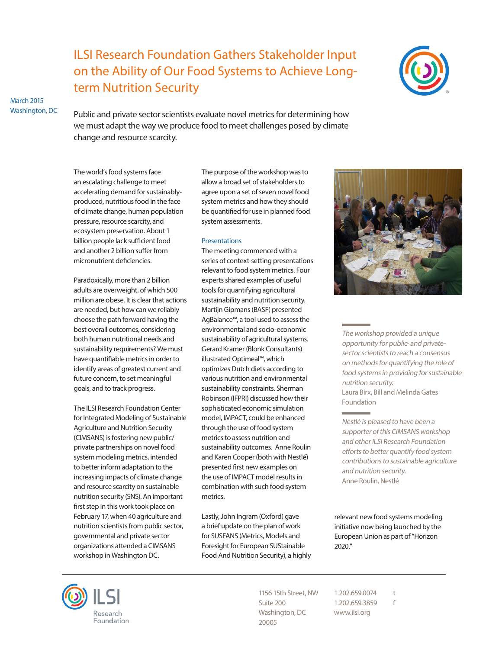# ILSI Research Foundation Gathers Stakeholder Input on the Ability of Our Food Systems to Achieve Longterm Nutrition Security



March 2015 Washington, DC

Public and private sector scientists evaluate novel metrics for determining how we must adapt the way we produce food to meet challenges posed by climate change and resource scarcity.

The world's food systems face an escalating challenge to meet accelerating demand for sustainablyproduced, nutritious food in the face of climate change, human population pressure, resource scarcity, and ecosystem preservation. About 1 billion people lack sufficient food and another 2 billion suffer from micronutrient deficiencies.

Paradoxically, more than 2 billion adults are overweight, of which 500 million are obese. It is clear that actions are needed, but how can we reliably choose the path forward having the best overall outcomes, considering both human nutritional needs and sustainability requirements? We must have quantifiable metrics in order to identify areas of greatest current and future concern, to set meaningful goals, and to track progress.

The ILSI Research Foundation Center for Integrated Modeling of Sustainable Agriculture and Nutrition Security (CIMSANS) is fostering new public/ private partnerships on novel food system modeling metrics, intended to better inform adaptation to the increasing impacts of climate change and resource scarcity on sustainable nutrition security (SNS). An important first step in this work took place on February 17, when 40 agriculture and nutrition scientists from public sector, governmental and private sector organizations attended a CIMSANS workshop in Washington DC.

The purpose of the workshop was to allow a broad set of stakeholders to agree upon a set of seven novel food system metrics and how they should be quantified for use in planned food system assessments.

### **Presentations**

The meeting commenced with a series of context-setting presentations relevant to food system metrics. Four experts shared examples of useful tools for quantifying agricultural sustainability and nutrition security. Martijn Gipmans (BASF) presented AgBalance™, a tool used to assess the environmental and socio-economic sustainability of agricultural systems. Gerard Kramer (Blonk Consultants) illustrated Optimeal™, which optimizes Dutch diets according to various nutrition and environmental sustainability constraints. Sherman Robinson (IFPRI) discussed how their sophisticated economic simulation model, IMPACT, could be enhanced through the use of food system metrics to assess nutrition and sustainability outcomes. Anne Roulin and Karen Cooper (both with Nestlé) presented first new examples on the use of IMPACT model results in combination with such food system metrics.

Lastly, John Ingram (Oxford) gave a brief update on the plan of work for SUSFANS (Metrics, Models and Foresight for European SUStainable Food And Nutrition Security), a highly



The workshop provided a unique opportunity for public- and privatesector scientists to reach a consensus on methods for quantifying the role of food systems in providing for sustainable nutrition security. Laura Birx, Bill and Melinda Gates Foundation

Nestlé is pleased to have been a supporter of this CIMSANS workshop and other ILSI Research Foundation efforts to better quantify food system contributions to sustainable agriculture and nutrition security. Anne Roulin, Nestlé

relevant new food systems modeling initiative now being launched by the European Union as part of "Horizon 2020."



1156 15th Street, NW Suite 200 Washington, DC 20005

1.202.659.0074 t 1.202.659.3859 f www.ilsi.org